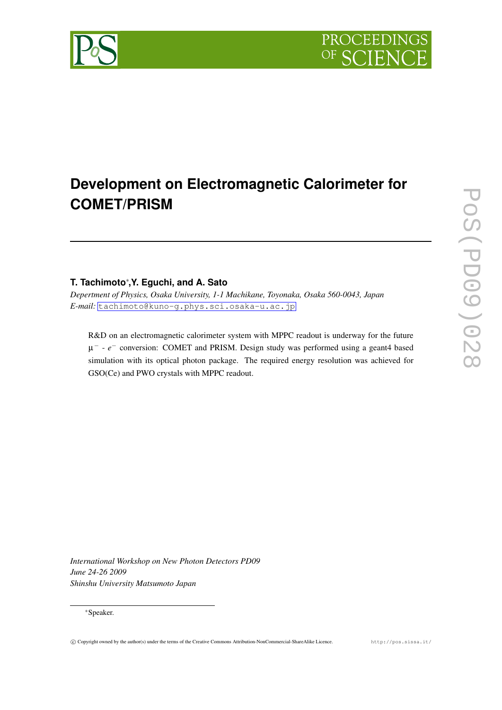

# **Development on Electromagnetic Calorimeter for COMET/PRISM**

## **T. Tachimoto***∗* **,Y. Eguchi, and A. Sato**

*Depertment of Physics, Osaka University, 1-1 Machikane, Toyonaka, Osaka 560-0043, Japan E-mail:* [tachimoto@kuno-g.phys.sci.osaka-u.ac.jp](mailto:tachimoto@kuno-g.phys.sci.osaka-u.ac.jp)

R&D on an electromagnetic calorimeter system with MPPC readout is underway for the future µ *−* - *e −* conversion: COMET and PRISM. Design study was performed using a geant4 based simulation with its optical photon package. The required energy resolution was achieved for GSO(Ce) and PWO crystals with MPPC readout.

*International Workshop on New Photon Detectors PD09 June 24-26 2009 Shinshu University Matsumoto Japan*

#### *∗*Speaker.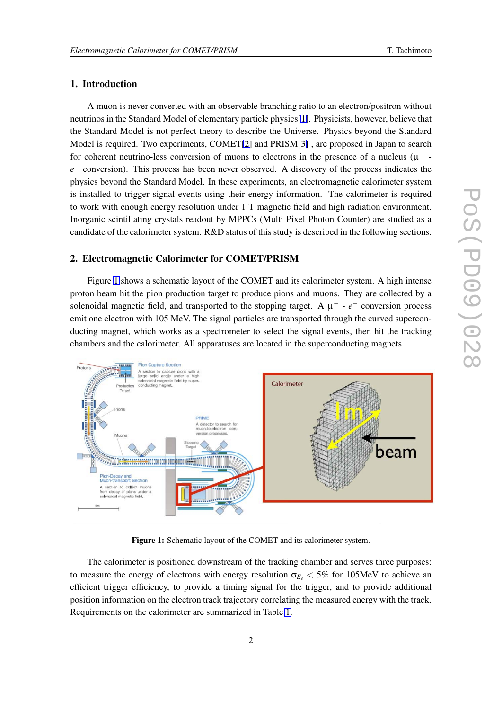### 1. Introduction

A muon is never converted with an observable branching ratio to an electron/positron without neutrinos in the Standard Model of elementary particle physics[\[1\]](#page-7-0). Physicists, however, believe that the Standard Model is not perfect theory to describe the Universe. Physics beyond the Standard Model is required. Two experiments, COMET[\[2\]](#page-7-0) and PRISM[\[3\]](#page-7-0) , are proposed in Japan to search for coherent neutrino-less conversion of muons to electrons in the presence of a nucleus (µ *− e*<sup>−</sup> conversion). This process has been never observed. A discovery of the process indicates the physics beyond the Standard Model. In these experiments, an electromagnetic calorimeter system is installed to trigger signal events using their energy information. The calorimeter is required to work with enough energy resolution under 1 T magnetic field and high radiation environment. Inorganic scintillating crystals readout by MPPCs (Multi Pixel Photon Counter) are studied as a candidate of the calorimeter system. R&D status of this study is described in the following sections.

#### 2. Electromagnetic Calorimeter for COMET/PRISM

Figure 1 shows a schematic layout of the COMET and its calorimeter system. A high intense proton beam hit the pion production target to produce pions and muons. They are collected by a solenoidal magnetic field, and transported to the stopping target. A µ *−* - *e −* conversion process emit one electron with 105 MeV. The signal particles are transported through the curved superconducting magnet, which works as a spectrometer to select the signal events, then hit the tracking chambers and the calorimeter. All apparatuses are located in the superconducting magnets.



Figure 1: Schematic layout of the COMET and its calorimeter system.

The calorimeter is positioned downstream of the tracking chamber and serves three purposes: to measure the energy of electrons with energy resolution  $\sigma_{E_e}$  < 5% for 105MeV to achieve an efficient trigger efficiency, to provide a timing signal for the trigger, and to provide additional position information on the electron track trajectory correlating the measured energy with the track. Requirements on the calorimeter are summarized in Table [1.](#page-2-0)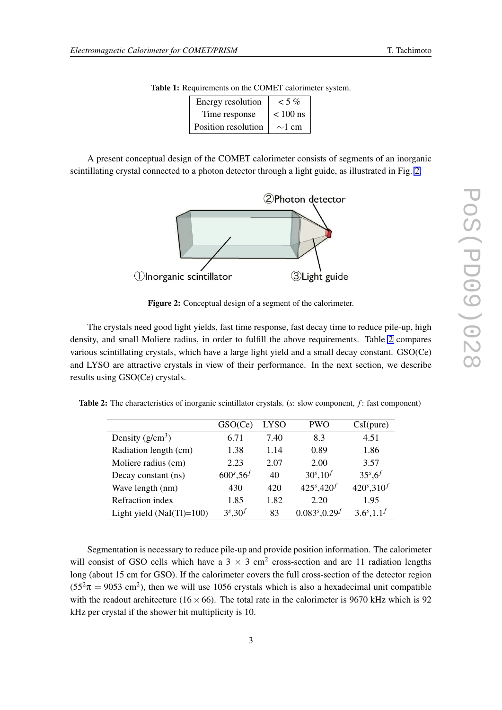| Energy resolution   | $<$ 5 %     |
|---------------------|-------------|
| Time response       | $< 100$ ns  |
| Position resolution | $\sim$ 1 cm |

|  |  |  |  |  | Table 1: Requirements on the COMET calorimeter system. |  |
|--|--|--|--|--|--------------------------------------------------------|--|
|--|--|--|--|--|--------------------------------------------------------|--|

<span id="page-2-0"></span>A present conceptual design of the COMET calorimeter consists of segments of an inorganic scintillating crystal connected to a photon detector through a light guide, as illustrated in Fig. 2.



Figure 2: Conceptual design of a segment of the calorimeter.

The crystals need good light yields, fast time response, fast decay time to reduce pile-up, high density, and small Moliere radius, in order to fulfill the above requirements. Table 2 compares various scintillating crystals, which have a large light yield and a small decay constant. GSO(Ce) and LYSO are attractive crystals in view of their performance. In the next section, we describe results using GSO(Ce) crystals.

Table 2: The characteristics of inorganic scintillator crystals. (*s*: slow component, *f* : fast component)

|                            | GSO(Ce)            | <b>LYSO</b> | <b>PWO</b>            | CsI(pure)                    |
|----------------------------|--------------------|-------------|-----------------------|------------------------------|
| Density $(g/cm^3)$         | 6.71               | 7.40        | 8.3                   | 4.51                         |
| Radiation length (cm)      | 1.38               | 1.14        | 0.89                  | 1.86                         |
| Moliere radius (cm)        | 2.23               | 2.07        | 2.00                  | 3.57                         |
| Decay constant (ns)        | $600^s, 56^f$      | 40          | $30^{s}, 10^{f}$      | $35^{s}$ , 6 <sup>f</sup>    |
| Wave length (nm)           | 430                | 420         | $425^{s}, 420^{f}$    | $420^{s}$ , 310 <sup>f</sup> |
| Refraction index           | 1.85               | 1.82        | 2.20                  | 1.95                         |
| Light yield $(NaI(T)=100)$ | $3^{s}$ , $30^{f}$ | 83          | $0.083^{s}, 0.29^{f}$ | $3.6^{s}, 1.1^{f}$           |

Segmentation is necessary to reduce pile-up and provide position information. The calorimeter will consist of GSO cells which have a  $3 \times 3$  cm<sup>2</sup> cross-section and are 11 radiation lengths long (about 15 cm for GSO). If the calorimeter covers the full cross-section of the detector region  $(55<sup>2</sup>π = 9053$  cm<sup>2</sup>), then we will use 1056 crystals which is also a hexadecimal unit compatible with the readout architecture ( $16 \times 66$ ). The total rate in the calorimeter is 9670 kHz which is 92 kHz per crystal if the shower hit multiplicity is 10.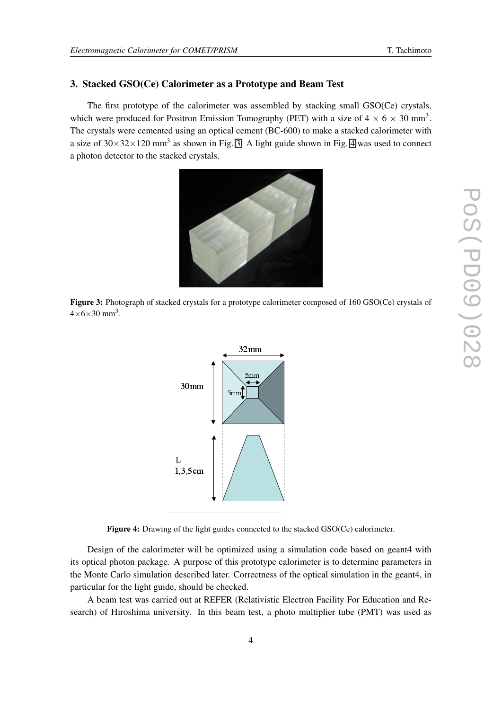#### 3. Stacked GSO(Ce) Calorimeter as a Prototype and Beam Test

The first prototype of the calorimeter was assembled by stacking small GSO(Ce) crystals, which were produced for Positron Emission Tomography (PET) with a size of  $4 \times 6 \times 30$  mm<sup>3</sup>. The crystals were cemented using an optical cement (BC-600) to make a stacked calorimeter with a size of  $30 \times 32 \times 120$  mm<sup>3</sup> as shown in Fig. 3. A light guide shown in Fig. 4 was used to connect a photon detector to the stacked crystals.

Figure 3: Photograph of stacked crystals for a prototype calorimeter composed of 160 GSO(Ce) crystals of  $4\times6\times30$  mm<sup>3</sup>.



Figure 4: Drawing of the light guides connected to the stacked GSO(Ce) calorimeter.

Design of the calorimeter will be optimized using a simulation code based on geant4 with its optical photon package. A purpose of this prototype calorimeter is to determine parameters in the Monte Carlo simulation described later. Correctness of the optical simulation in the geant4, in particular for the light guide, should be checked.

A beam test was carried out at REFER (Relativistic Electron Facility For Education and Research) of Hiroshima university. In this beam test, a photo multiplier tube (PMT) was used as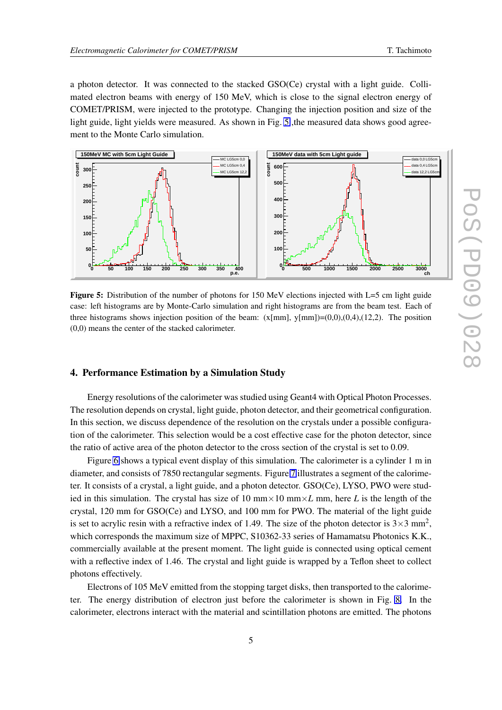a photon detector. It was connected to the stacked GSO(Ce) crystal with a light guide. Collimated electron beams with energy of 150 MeV, which is close to the signal electron energy of COMET/PRISM, were injected to the prototype. Changing the injection position and size of the light guide, light yields were measured. As shown in Fig. 5, the measured data shows good agreement to the Monte Carlo simulation.



Figure 5: Distribution of the number of photons for 150 MeV elections injected with L=5 cm light guide case: left histograms are by Monte-Carlo simulation and right histograms are from the beam test. Each of three histograms shows injection position of the beam:  $(x[mm], y[mm])=(0,0),(0,4),(12,2)$ . The position (0,0) means the center of the stacked calorimeter.

#### 4. Performance Estimation by a Simulation Study

Energy resolutions of the calorimeter was studied using Geant4 with Optical Photon Processes. The resolution depends on crystal, light guide, photon detector, and their geometrical configuration. In this section, we discuss dependence of the resolution on the crystals under a possible configuration of the calorimeter. This selection would be a cost effective case for the photon detector, since the ratio of active area of the photon detector to the cross section of the crystal is set to 0.09.

Figure [6](#page-5-0) shows a typical event display of this simulation. The calorimeter is a cylinder 1 m in diameter, and consists of 7850 rectangular segments. Figure [7](#page-5-0) illustrates a segment of the calorimeter. It consists of a crystal, a light guide, and a photon detector. GSO(Ce), LYSO, PWO were studied in this simulation. The crystal has size of 10 mm*×*10 mm*×L* mm, here *L* is the length of the crystal, 120 mm for GSO(Ce) and LYSO, and 100 mm for PWO. The material of the light guide is set to acrylic resin with a refractive index of 1.49. The size of the photon detector is  $3 \times 3$  mm<sup>2</sup>, which corresponds the maximum size of MPPC, S10362-33 series of Hamamatsu Photonics K.K., commercially available at the present moment. The light guide is connected using optical cement with a reflective index of 1.46. The crystal and light guide is wrapped by a Teflon sheet to collect photons effectively.

Electrons of 105 MeV emitted from the stopping target disks, then transported to the calorimeter. The energy distribution of electron just before the calorimeter is shown in Fig. [8.](#page-5-0) In the calorimeter, electrons interact with the material and scintillation photons are emitted. The photons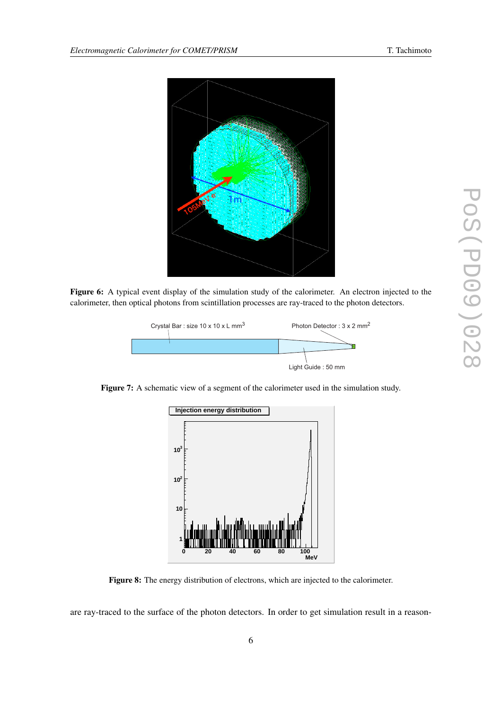<span id="page-5-0"></span>

Figure 6: A typical event display of the simulation study of the calorimeter. An electron injected to the calorimeter, then optical photons from scintillation processes are ray-traced to the photon detectors.



Figure 7: A schematic view of a segment of the calorimeter used in the simulation study.



Figure 8: The energy distribution of electrons, which are injected to the calorimeter.

are ray-traced to the surface of the photon detectors. In order to get simulation result in a reason-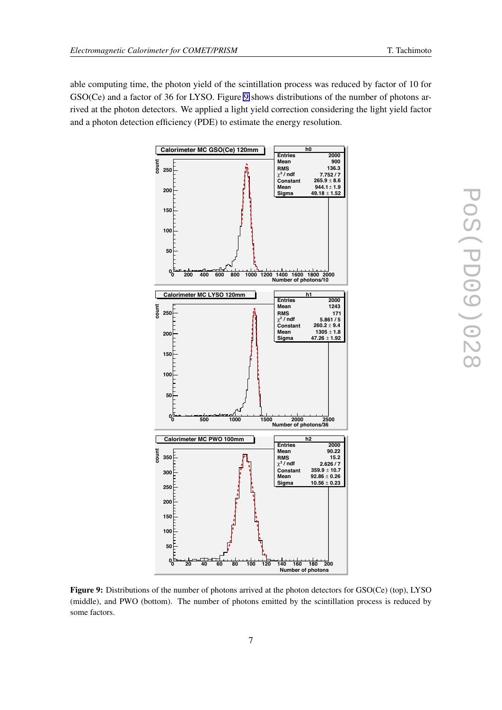able computing time, the photon yield of the scintillation process was reduced by factor of 10 for GSO(Ce) and a factor of 36 for LYSO. Figure 9 shows distributions of the number of photons arrived at the photon detectors. We applied a light yield correction considering the light yield factor and a photon detection efficiency (PDE) to estimate the energy resolution.



Figure 9: Distributions of the number of photons arrived at the photon detectors for GSO(Ce) (top), LYSO (middle), and PWO (bottom). The number of photons emitted by the scintillation process is reduced by some factors.